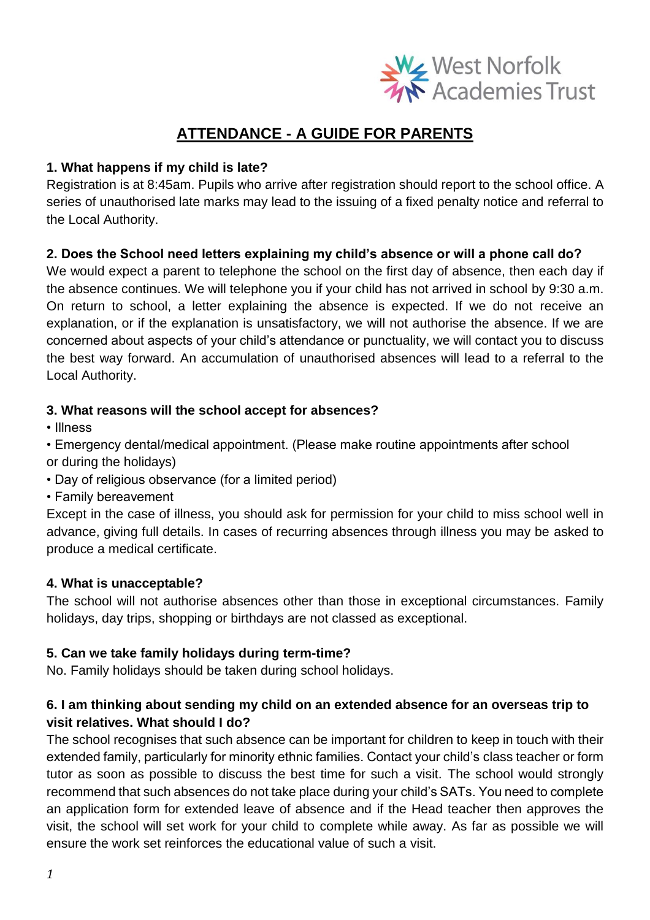

# **ATTENDANCE - A GUIDE FOR PARENTS**

# **1. What happens if my child is late?**

Registration is at 8:45am. Pupils who arrive after registration should report to the school office. A series of unauthorised late marks may lead to the issuing of a fixed penalty notice and referral to the Local Authority.

# **2. Does the School need letters explaining my child's absence or will a phone call do?**

We would expect a parent to telephone the school on the first day of absence, then each day if the absence continues. We will telephone you if your child has not arrived in school by 9:30 a.m. On return to school, a letter explaining the absence is expected. If we do not receive an explanation, or if the explanation is unsatisfactory, we will not authorise the absence. If we are concerned about aspects of your child's attendance or punctuality, we will contact you to discuss the best way forward. An accumulation of unauthorised absences will lead to a referral to the Local Authority.

### **3. What reasons will the school accept for absences?**

• Illness

• Emergency dental/medical appointment. (Please make routine appointments after school or during the holidays)

- Day of religious observance (for a limited period)
- Family bereavement

Except in the case of illness, you should ask for permission for your child to miss school well in advance, giving full details. In cases of recurring absences through illness you may be asked to produce a medical certificate.

### **4. What is unacceptable?**

The school will not authorise absences other than those in exceptional circumstances. Family holidays, day trips, shopping or birthdays are not classed as exceptional.

### **5. Can we take family holidays during term-time?**

No. Family holidays should be taken during school holidays.

# **6. I am thinking about sending my child on an extended absence for an overseas trip to visit relatives. What should I do?**

The school recognises that such absence can be important for children to keep in touch with their extended family, particularly for minority ethnic families. Contact your child's class teacher or form tutor as soon as possible to discuss the best time for such a visit. The school would strongly recommend that such absences do not take place during your child's SATs. You need to complete an application form for extended leave of absence and if the Head teacher then approves the visit, the school will set work for your child to complete while away. As far as possible we will ensure the work set reinforces the educational value of such a visit.